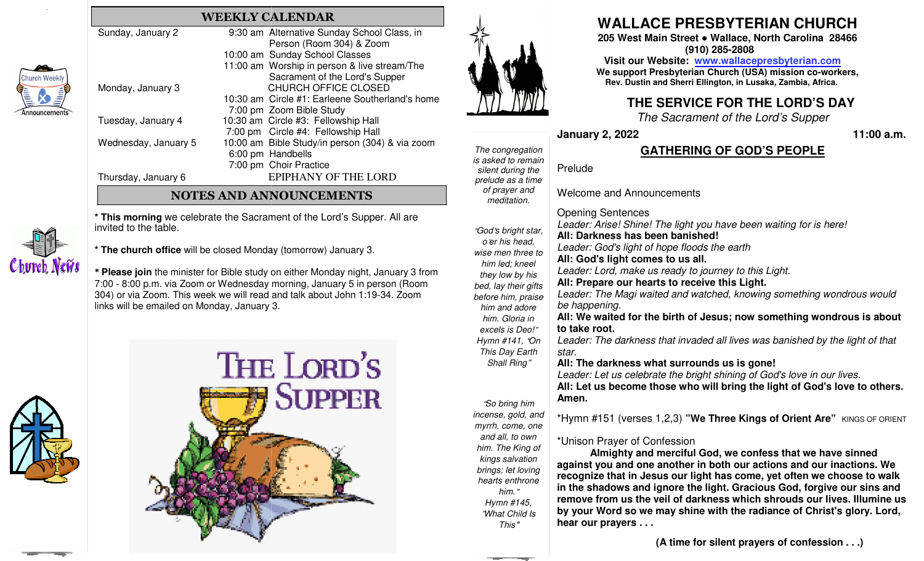| 'eekly<br><b>Alliance</b><br>ements |                      |                                                 |  |
|-------------------------------------|----------------------|-------------------------------------------------|--|
|                                     | Sunday, January 2    | 9:30 am Alternative Sunday School Class, in     |  |
|                                     |                      | Person (Room 304) & Zoom                        |  |
|                                     |                      | 10:00 am Sunday School Classes                  |  |
|                                     |                      | 11:00 am Worship in person & live stream/The    |  |
|                                     |                      | Sacrament of the Lord's Supper                  |  |
|                                     | Monday, January 3    | <b>CHURCH OFFICE CLOSED</b>                     |  |
|                                     |                      | 10:30 am Circle #1: Earleene Southerland's home |  |
|                                     |                      | 7:00 pm Zoom Bible Study                        |  |
|                                     | Tuesday, January 4   | 10:30 am Circle #3: Fellowship Hall             |  |
|                                     |                      | 7:00 pm Circle #4: Fellowship Hall              |  |
|                                     | Wednesday, January 5 | 10:00 am Bible Study/in person (304) & via zoom |  |
|                                     |                      | 6:00 pm Handbells                               |  |
|                                     |                      | 7:00 pm Choir Practice                          |  |
|                                     | Thursday, January 6  | EPIPHANY OF THE LORD                            |  |
|                                     |                      |                                                 |  |

## **NOTES AND ANNOUNCEMENTS**

**WEEKLY CALENDAR**

**\* This morning** we celebrate the Sacrament of the Lord's Supper. All are invited to the table.



**\* The church office** will be closed Monday (tomorrow) (tomorrow) January 3.

**\* Please join** the minister for Bible study on either Monday night, January 3 from 7:00 - 8:00 p.m. via Zoom or Wednesday morning, January 5 in person (Room 304) or via Zoom. This week we will read and talk about John 1:19-34. Zoom links will be emailed on Monday, January 3.





# **WALLACE PRESBYTERIAN CHURCH**

 **205 West Main Street ● Wallace, North Carolina 28466 (910) 285-2808** 

> **Visit our Website: www.wallacepresbyterian.com We support Presbyterian Church (USA) mission coco-workers,** Rev. Dustin and Sherri Ellington, in Lusaka, Zambia, Africa.

## **THE SERVICE FOR THE LORD'S DAY**

*The Sacrament of the Lord's Supper*

**January 2, 2022** 

#### **11:00 a.m.**

### **GATHERING OF GOD'S PEOPLE**

*The congregation is asked to remain silent during the prelude as a time* Prelude

"*God*'*s bright star, o*'*er his head, wise men three to him led; kneel they low by his bed, lay their gifts before him, praise him and adore him. Gloria in excels is Deo!*" *Hymn #141,* "*On This Day Earth* 

"*So bring him and all, to own him. The King of kings salvation brings; let loving hearts enthrone him.*" *Hymn #145,*  "*What Child Is This*"

*of prayer and meditation. is asked to remain*<br>*silent during the*<br>*prelude as a time*<br>*of prayer and*<br>*meditation.*<br>"God's bright star,<br>o'er his head,<br>wise men three to<br>him led; kneel<br>they low by his<br>bed, lay their gifts<br>before him, praise<br>him and

*incense, gold, and myrrh, come, one* 

Welcome and Announcements Opening Sentences *Leader: Arise! Shine! The light you have been waiting for is here!***All: Darkness has been banished!** *Leader: God's light of hope floods the earth* 

*Shall Ring*"**All: God's light comes to us all.**  *Leader: Lord, make us ready to journey to this Light.* **All: Prepare our hearts to receive this Light.**  *Leader: The Magi waited and watched, knowing somethinging wondrous would be happening.* All: We waited for the birth of Jesus; now something wondrous is about **to take root.** Leader: The darkness that invaded all lives was banished by the light of that *star.* **All: The darkness what surrounds us is gone!** 

**Amen.** 

\*Unison Prayer of Confession

 **in the shadows and ignore the light. Gracious God, for forgive our sins and remove from us the veil of darkness which shrouds ou our lives. Illumine us by your Word so we may shine with the radiance of Christ's gloglory. Lord, hear our prayers . . .** 

*Leader: Let us celebrate the bright shining of God's love in our lives.:* 

**All: Let us become those who will bring the light of GoGod's love to others.** 

\*Hymn #151 (verses 1,2,3) "**We Three Kings of Orient Are**" <code>kings</code> of <code>orient</code>

 **Almighty and merciful God, we confess that we have sinned** against you and one another in both our actions and our inactions. We recognize that in Jesus our light has come, yet often we choose to walk

**(A time for silent prayers of confession . . .)**